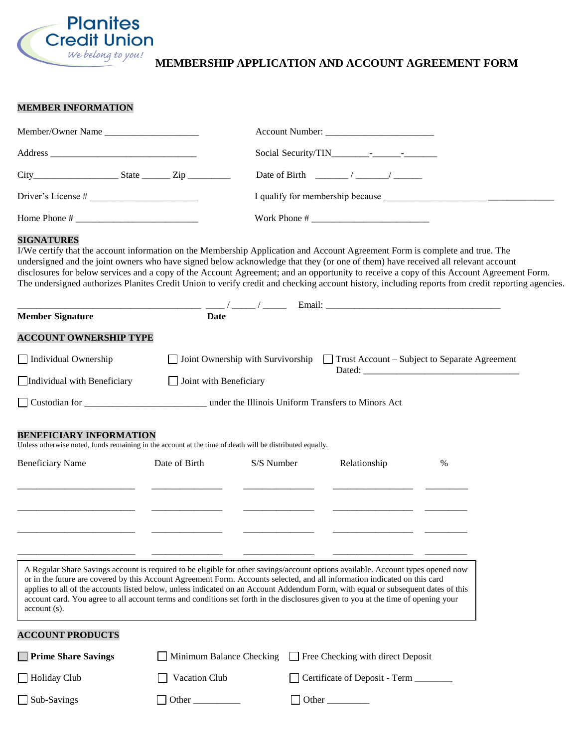

# **MEMBERSHIP APPLICATION AND ACCOUNT AGREEMENT FORM**

### **MEMBER INFORMATION**

| Member/Owner Name    |                                                             |
|----------------------|-------------------------------------------------------------|
|                      |                                                             |
| $City$ $State$ $Zip$ | Date of Birth $\frac{1}{2}$ / $\frac{1}{2}$ / $\frac{1}{2}$ |
|                      |                                                             |
|                      |                                                             |

# **SIGNATURES**

I/We certify that the account information on the Membership Application and Account Agreement Form is complete and true. The undersigned and the joint owners who have signed below acknowledge that they (or one of them) have received all relevant account disclosures for below services and a copy of the Account Agreement; and an opportunity to receive a copy of this Account Agreement Form. The undersigned authorizes Planites Credit Union to verify credit and checking account history, including reports from credit reporting agencies.

| <b>Member Signature</b>                                                                                                                    | <b>Date</b>                                                                                                                                                                                                                                                                                                                                                                                                                                                                                                                              |            |                                        |   |
|--------------------------------------------------------------------------------------------------------------------------------------------|------------------------------------------------------------------------------------------------------------------------------------------------------------------------------------------------------------------------------------------------------------------------------------------------------------------------------------------------------------------------------------------------------------------------------------------------------------------------------------------------------------------------------------------|------------|----------------------------------------|---|
| <b>ACCOUNT OWNERSHIP TYPE</b>                                                                                                              |                                                                                                                                                                                                                                                                                                                                                                                                                                                                                                                                          |            |                                        |   |
| Individual Ownership                                                                                                                       | Joint Ownership with Survivorship<br>$\Box$ Trust Account – Subject to Separate Agreement                                                                                                                                                                                                                                                                                                                                                                                                                                                |            |                                        |   |
| Individual with Beneficiary                                                                                                                | $\Box$ Joint with Beneficiary                                                                                                                                                                                                                                                                                                                                                                                                                                                                                                            |            |                                        |   |
|                                                                                                                                            | Custodian for Custodian for Custodian for Custodian for Custodian for Custodian for Custodian for Custodian for                                                                                                                                                                                                                                                                                                                                                                                                                          |            |                                        |   |
| <b>BENEFICIARY INFORMATION</b><br>Unless otherwise noted, funds remaining in the account at the time of death will be distributed equally. |                                                                                                                                                                                                                                                                                                                                                                                                                                                                                                                                          |            |                                        |   |
| <b>Beneficiary Name</b>                                                                                                                    | Date of Birth                                                                                                                                                                                                                                                                                                                                                                                                                                                                                                                            | S/S Number | Relationship                           | % |
|                                                                                                                                            |                                                                                                                                                                                                                                                                                                                                                                                                                                                                                                                                          |            |                                        |   |
|                                                                                                                                            |                                                                                                                                                                                                                                                                                                                                                                                                                                                                                                                                          |            |                                        |   |
|                                                                                                                                            |                                                                                                                                                                                                                                                                                                                                                                                                                                                                                                                                          |            |                                        |   |
|                                                                                                                                            |                                                                                                                                                                                                                                                                                                                                                                                                                                                                                                                                          |            |                                        |   |
| $account(s)$ .                                                                                                                             | A Regular Share Savings account is required to be eligible for other savings/account options available. Account types opened now<br>or in the future are covered by this Account Agreement Form. Accounts selected, and all information indicated on this card<br>applies to all of the accounts listed below, unless indicated on an Account Addendum Form, with equal or subsequent dates of this<br>account card. You agree to all account terms and conditions set forth in the disclosures given to you at the time of opening your |            |                                        |   |
| <b>ACCOUNT PRODUCTS</b>                                                                                                                    |                                                                                                                                                                                                                                                                                                                                                                                                                                                                                                                                          |            |                                        |   |
| <b>Prime Share Savings</b>                                                                                                                 | Minimum Balance Checking<br>I Free Checking with direct Deposit                                                                                                                                                                                                                                                                                                                                                                                                                                                                          |            |                                        |   |
| Holiday Club                                                                                                                               | Vacation Club                                                                                                                                                                                                                                                                                                                                                                                                                                                                                                                            |            | Certificate of Deposit - Term ________ |   |
| $\Box$ Sub-Savings                                                                                                                         | Other                                                                                                                                                                                                                                                                                                                                                                                                                                                                                                                                    |            | Other                                  |   |